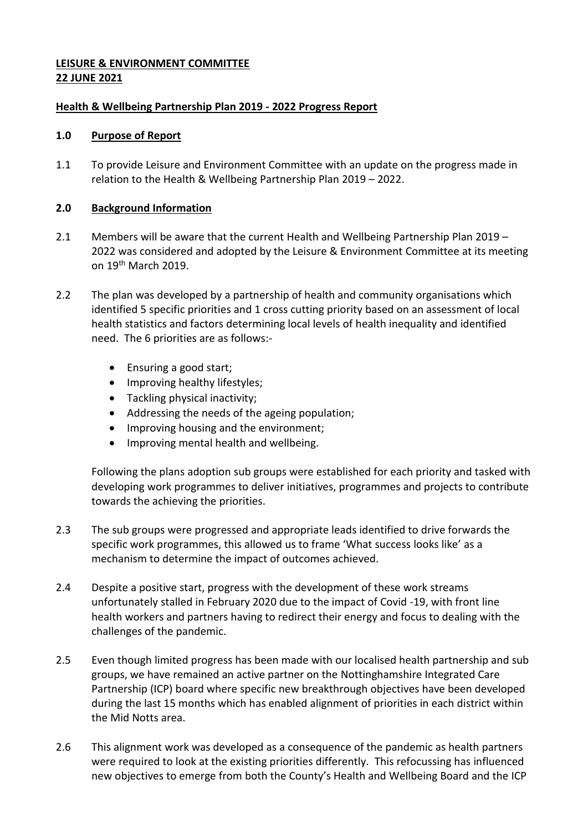# **LEISURE & ENVIRONMENT COMMITTEE 22 JUNE 2021**

# **Health & Wellbeing Partnership Plan 2019 - 2022 Progress Report**

#### **1.0 Purpose of Report**

1.1 To provide Leisure and Environment Committee with an update on the progress made in relation to the Health & Wellbeing Partnership Plan 2019 – 2022.

## **2.0 Background Information**

- 2.1 Members will be aware that the current Health and Wellbeing Partnership Plan 2019 2022 was considered and adopted by the Leisure & Environment Committee at its meeting on 19th March 2019.
- 2.2 The plan was developed by a partnership of health and community organisations which identified 5 specific priorities and 1 cross cutting priority based on an assessment of local health statistics and factors determining local levels of health inequality and identified need. The 6 priorities are as follows:-
	- Ensuring a good start;
	- Improving healthy lifestyles;
	- Tackling physical inactivity;
	- Addressing the needs of the ageing population;
	- Improving housing and the environment;
	- Improving mental health and wellbeing.

Following the plans adoption sub groups were established for each priority and tasked with developing work programmes to deliver initiatives, programmes and projects to contribute towards the achieving the priorities.

- 2.3 The sub groups were progressed and appropriate leads identified to drive forwards the specific work programmes, this allowed us to frame 'What success looks like' as a mechanism to determine the impact of outcomes achieved.
- 2.4 Despite a positive start, progress with the development of these work streams unfortunately stalled in February 2020 due to the impact of Covid -19, with front line health workers and partners having to redirect their energy and focus to dealing with the challenges of the pandemic.
- 2.5 Even though limited progress has been made with our localised health partnership and sub groups, we have remained an active partner on the Nottinghamshire Integrated Care Partnership (ICP) board where specific new breakthrough objectives have been developed during the last 15 months which has enabled alignment of priorities in each district within the Mid Notts area.
- 2.6 This alignment work was developed as a consequence of the pandemic as health partners were required to look at the existing priorities differently. This refocussing has influenced new objectives to emerge from both the County's Health and Wellbeing Board and the ICP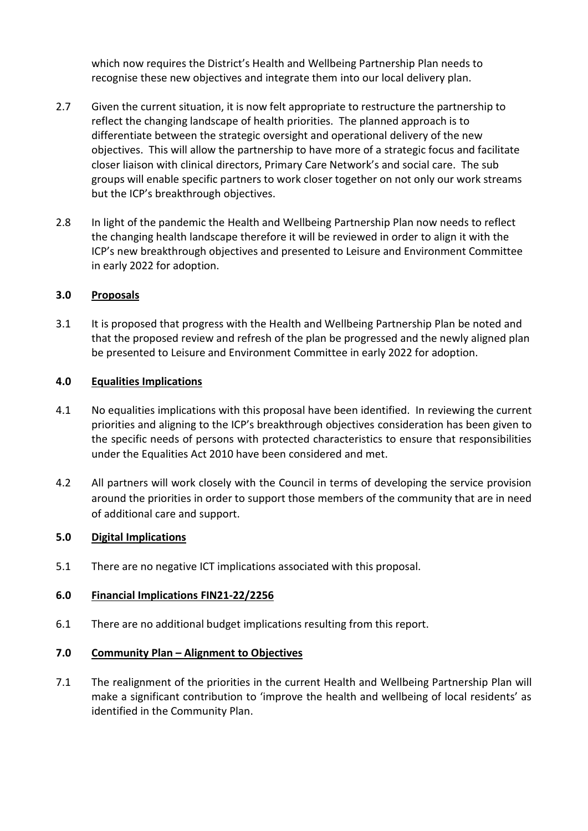which now requires the District's Health and Wellbeing Partnership Plan needs to recognise these new objectives and integrate them into our local delivery plan.

- 2.7 Given the current situation, it is now felt appropriate to restructure the partnership to reflect the changing landscape of health priorities. The planned approach is to differentiate between the strategic oversight and operational delivery of the new objectives. This will allow the partnership to have more of a strategic focus and facilitate closer liaison with clinical directors, Primary Care Network's and social care. The sub groups will enable specific partners to work closer together on not only our work streams but the ICP's breakthrough objectives.
- 2.8 In light of the pandemic the Health and Wellbeing Partnership Plan now needs to reflect the changing health landscape therefore it will be reviewed in order to align it with the ICP's new breakthrough objectives and presented to Leisure and Environment Committee in early 2022 for adoption.

## **3.0 Proposals**

3.1 It is proposed that progress with the Health and Wellbeing Partnership Plan be noted and that the proposed review and refresh of the plan be progressed and the newly aligned plan be presented to Leisure and Environment Committee in early 2022 for adoption.

#### **4.0 Equalities Implications**

- 4.1 No equalities implications with this proposal have been identified. In reviewing the current priorities and aligning to the ICP's breakthrough objectives consideration has been given to the specific needs of persons with protected characteristics to ensure that responsibilities under the Equalities Act 2010 have been considered and met.
- 4.2 All partners will work closely with the Council in terms of developing the service provision around the priorities in order to support those members of the community that are in need of additional care and support.

#### **5.0 Digital Implications**

5.1 There are no negative ICT implications associated with this proposal.

#### **6.0 Financial Implications FIN21-22/2256**

6.1 There are no additional budget implications resulting from this report.

#### **7.0 Community Plan – Alignment to Objectives**

7.1 The realignment of the priorities in the current Health and Wellbeing Partnership Plan will make a significant contribution to 'improve the health and wellbeing of local residents' as identified in the Community Plan.